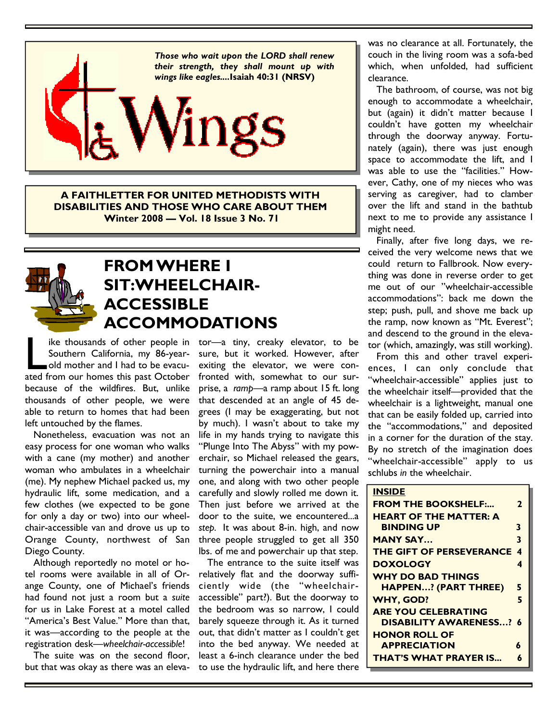

**A FAITHLETTER FOR UNITED METHODISTS WITH DISABILITIES AND THOSE WHO CARE ABOUT THEM Winter 2008 — Vol. 18 Issue 3 No. 71**



## **FROM WHERE I SIT:WHEELCHAIR-ACCESSIBLE ACCOMMODATIONS**

ike thousands of other people in<br>
Southern California, my 86-year-<br>
old mother and I had to be evacu-<br>
ated from our homes this past October Southern California, my 86-yearold mother and I had to be evacubecause of the wildfires. But, unlike thousands of other people, we were able to return to homes that had been left untouched by the flames.

 Nonetheless, evacuation was not an easy process for one woman who walks with a cane (my mother) and another woman who ambulates in a wheelchair (me). My nephew Michael packed us, my hydraulic lift, some medication, and a few clothes (we expected to be gone for only a day or two) into our wheelchair-accessible van and drove us up to Orange County, northwest of San Diego County.

 Although reportedly no motel or hotel rooms were available in all of Orange County, one of Michael's friends had found not just a room but a *suite*  for us in Lake Forest at a motel called "America's Best Value." More than that, it was—according to the people at the registration desk—*wheelchair-accessible*!

 The suite was on the second floor, but that was okay as there was an eleva-

ike thousands of other people in tor—a tiny, creaky elevator, to be sure, but it worked. However, after exiting the elevator, we were confronted with, somewhat to our surprise, a *ramp*—a ramp about 15 ft. long that descended at an angle of 45 degrees (I may be exaggerating, but not by much). I wasn't about to take my life in my hands trying to navigate this "Plunge Into The Abyss" with my powerchair, so Michael released the gears, turning the powerchair into a manual one, and along with two other people carefully and slowly rolled me down it. Then just before we arrived at the door to the suite, we encountered...a *step.* It was about 8-in. high, and now three people struggled to get all 350 lbs. of me and powerchair up that step.

> The entrance to the suite itself was relatively flat and the doorway sufficiently wide (the "wheelchairaccessible" part?). But the doorway to the bedroom was so narrow, I could barely squeeze through it. As it turned out, that didn't matter as I couldn't get into the bed anyway. We needed at least a 6-inch clearance under the bed to use the hydraulic lift, and here there

was no clearance at all. Fortunately, the couch in the living room was a sofa-bed which, when unfolded, had sufficient clearance.

 The bathroom, of course, was not big enough to accommodate a wheelchair, but (again) it didn't matter because I couldn't have gotten my wheelchair through the doorway anyway. Fortunately (again), there was just enough space to accommodate the lift, and I was able to use the "facilities." However, Cathy, one of my nieces who was serving as caregiver, had to clamber over the lift and stand in the bathtub next to me to provide any assistance I might need.

 Finally, after five long days, we received the very welcome news that we could return to Fallbrook. Now everything was done in reverse order to get me out of our "wheelchair-accessible accommodations": back me down the step; push, pull, and shove me back up the ramp, now known as "Mt. Everest"; and descend to the ground in the elevator (which, amazingly, was still working).

 From this and other travel experiences, I can only conclude that "wheelchair-accessible" applies just to the wheelchair itself—provided that the wheelchair is a lightweight, manual one that can be easily folded up, carried into the "accommodations," and deposited in a corner for the duration of the stay. By no stretch of the imagination does "wheelchair-accessible" apply to us schlubs *in* the wheelchair.

| <b>INSIDE</b>                   |                  |
|---------------------------------|------------------|
| <b>FROM THE BOOKSHELF:</b>      | $\mathbf{2}$     |
| <b>HEART OF THE MATTER: A</b>   |                  |
| <b>BINDING UP</b>               | 3                |
| <b>MANY SAY</b>                 | 3                |
| <b>THE GIFT OF PERSEVERANCE</b> | $\boldsymbol{4}$ |
| <b>DOXOLOGY</b>                 | 4                |
| <b>WHY DO BAD THINGS</b>        |                  |
| <b>HAPPEN? (PART THREE)</b>     | 5                |
| <b>WHY, GOD?</b>                | 5                |
| <b>ARE YOU CELEBRATING</b>      |                  |
| <b>DISABILITY AWARENESS? 6</b>  |                  |
| <b>HONOR ROLL OF</b>            |                  |
| <b>APPRECIATION</b>             | 6                |
| <b>THAT'S WHAT PRAYER IS</b>    | 6                |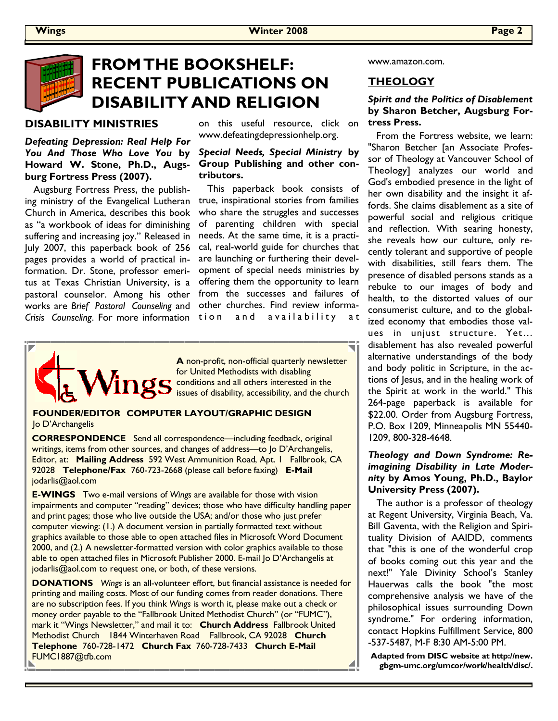

## **FROM THE BOOKSHELF: RECENT PUBLICATIONS ON DISABILITY AND RELIGION**

### **DISABILITY MINISTRIES**

#### *Defeating Depression: Real Help For You And Those Who Love You* **by Howard W. Stone, Ph.D., Augsburg Fortress Press (2007).**

 Augsburg Fortress Press, the publishing ministry of the Evangelical Lutheran Church in America, describes this book as "a workbook of ideas for diminishing suffering and increasing joy." Released in July 2007, this paperback book of 256 pages provides a world of practical information. Dr. Stone, professor emeritus at Texas Christian University, is a pastoral counselor. Among his other works are *Brief Pastoral Counseling* and *Crisis Counseling*. For more information

on this useful resource, click on www.defeatingdepressionhelp.org.

#### *Special Needs, Special Ministry* **by Group Publishing and other contributors.**

 This paperback book consists of true, inspirational stories from families who share the struggles and successes of parenting children with special needs. At the same time, it is a practical, real-world guide for churches that are launching or furthering their development of special needs ministries by offering them the opportunity to learn from the successes and failures of other churches. Find review information and availability



**A** non-profit, non-official quarterly newsletter for United Methodists with disabling conditions and all others interested in the issues of disability, accessibility, and the church

#### **FOUNDER/EDITOR COMPUTER LAYOUT/GRAPHIC DESIGN**  Jo D'Archangelis

**CORRESPONDENCE** Send all correspondence—including feedback, original writings, items from other sources, and changes of address—to Jo D'Archangelis, Editor, at: **Mailing Address** 592 West Ammunition Road, Apt. 1 Fallbrook, CA 92028 **Telephone/Fax** 760-723-2668 (please call before faxing) **E-Mail**  jodarlis@aol.com

**E-WINGS** Two e-mail versions of *Wings* are available for those with vision impairments and computer "reading" devices; those who have difficulty handling paper and print pages; those who live outside the USA; and/or those who just prefer computer viewing: (1.) A document version in partially formatted text without graphics available to those able to open attached files in Microsoft Word Document 2000, and (2.) A newsletter-formatted version with color graphics available to those able to open attached files in Microsoft Publisher 2000. E-mail Jo D'Archangelis at jodarlis@aol.com to request one, or both, of these versions.

**DONATIONS** *Wings* is an all-volunteer effort, but financial assistance is needed for printing and mailing costs. Most of our funding comes from reader donations. There are no subscription fees. If you think *Wings* is worth it, please make out a check or money order payable to the "Fallbrook United Methodist Church" (or "FUMC"), mark it "Wings Newsletter," and mail it to: **Church Address** Fallbrook United Methodist Church 1844 Winterhaven Road Fallbrook, CA 92028 **Church Telephone** 760-728-1472 **Church Fax** 760-728-7433 **Church E-Mail**  FUMC1887@tfb.com

www.amazon.com.

### **THEOLOGY**

#### *Spirit and the Politics of Disablement* **by Sharon Betcher, Augsburg Fortress Press.**

 From the Fortress website, we learn: "Sharon Betcher [an Associate Professor of Theology at Vancouver School of Theology] analyzes our world and God's embodied presence in the light of her own disability and the insight it affords. She claims disablement as a site of powerful social and religious critique and reflection. With searing honesty, she reveals how our culture, only recently tolerant and supportive of people with disabilities, still fears them. The presence of disabled persons stands as a rebuke to our images of body and health, to the distorted values of our consumerist culture, and to the globalized economy that embodies those values in unjust structure. Yet… disablement has also revealed powerful alternative understandings of the body and body politic in Scripture, in the actions of Jesus, and in the healing work of the Spirit at work in the world." This 264-page paperback is available for \$22.00. Order from Augsburg Fortress, P.O. Box 1209, Minneapolis MN 55440- 1209, 800-328-4648.

#### *Theology and Down Syndrome: Reimagining Disability in Late Modernity* **by Amos Young, Ph.D., Baylor University Press (2007).**

 The author is a professor of theology at Regent University, Virginia Beach, Va. Bill Gaventa, with the Religion and Spirituality Division of AAIDD, comments that "this is one of the wonderful crop of books coming out this year and the next!" Yale Divinity School's Stanley Hauerwas calls the book "the most comprehensive analysis we have of the philosophical issues surrounding Down syndrome." For ordering information, contact Hopkins Fulfillment Service, 800 -537-5487, M-F 8:30 AM-5:00 PM.

**Adapted from DISC website at http://new. gbgm-umc.org/umcor/work/health/disc/.**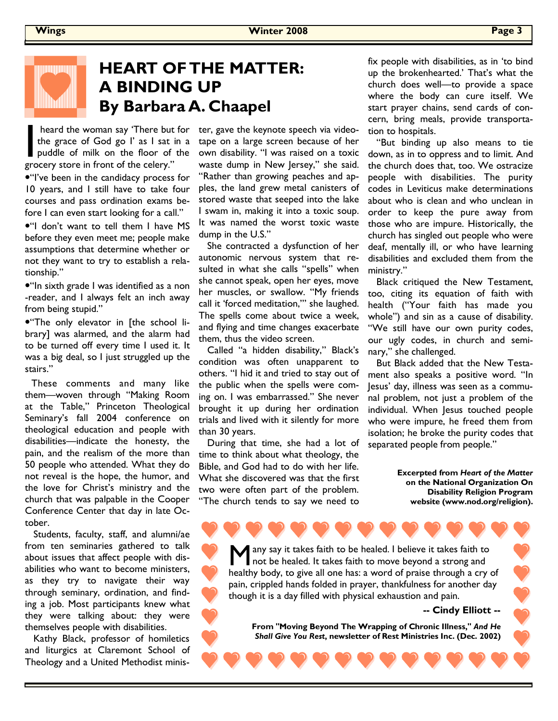## **HEART OF THE MATTER: A BINDING UP By Barbara A. Chaapel**

heard the woman say 'There but for<br>the grace of God go I' as I sat in a<br>puddle of milk on the floor of the<br>grocery store in front of the celery." the grace of God go I' as I sat in a puddle of milk on the floor of the grocery store in front of the celery."

•"I've been in the candidacy process for 10 years, and I still have to take four courses and pass ordination exams before I can even start looking for a call."

•"I don't want to tell them I have MS before they even meet me; people make assumptions that determine whether or not they want to try to establish a relationship."

•"In sixth grade I was identified as a non -reader, and I always felt an inch away from being stupid."

•"The only elevator in [the school library] was alarmed, and the alarm had to be turned off every time I used it. It was a big deal, so I just struggled up the stairs."

These comments and many like them—woven through "Making Room at the Table," Princeton Theological Seminary's fall 2004 conference on theological education and people with disabilities—indicate the honesty, the pain, and the realism of the more than 50 people who attended. What they do not reveal is the hope, the humor, and the love for Christ's ministry and the church that was palpable in the Cooper Conference Center that day in late October.

 Students, faculty, staff, and alumni/ae from ten seminaries gathered to talk about issues that affect people with disabilities who want to become ministers, as they try to navigate their way through seminary, ordination, and finding a job. Most participants knew what they were talking about: they were themselves people with disabilities.

 Kathy Black, professor of homiletics and liturgics at Claremont School of Theology and a United Methodist minis-

heard the woman say 'There but for ter, gave the keynote speech via videotape on a large screen because of her own disability. "I was raised on a toxic waste dump in New Jersey," she said. "Rather than growing peaches and apples, the land grew metal canisters of stored waste that seeped into the lake I swam in, making it into a toxic soup. It was named the worst toxic waste dump in the U.S."

> She contracted a dysfunction of her autonomic nervous system that resulted in what she calls "spells" when she cannot speak, open her eyes, move her muscles, or swallow. "My friends call it 'forced meditation,'" she laughed. The spells come about twice a week, and flying and time changes exacerbate them, thus the video screen.

> Called "a hidden disability," Black's condition was often unapparent to others. "I hid it and tried to stay out of the public when the spells were coming on. I was embarrassed." She never brought it up during her ordination trials and lived with it silently for more than 30 years.

 During that time, she had a lot of time to think about what theology, the Bible, and God had to do with her life. What she discovered was that the first two were often part of the problem. "The church tends to say we need to fix people with disabilities, as in 'to bind up the brokenhearted.' That's what the church does well—to provide a space where the body can cure itself. We start prayer chains, send cards of concern, bring meals, provide transportation to hospitals.

 "But binding up also means to tie down, as in to oppress and to limit. And the church does that, too. We ostracize people with disabilities. The purity codes in Leviticus make determinations about who is clean and who unclean in order to keep the pure away from those who are impure. Historically, the church has singled out people who were deaf, mentally ill, or who have learning disabilities and excluded them from the ministry."

 Black critiqued the New Testament, too, citing its equation of faith with health ("Your faith has made you whole") and sin as a cause of disability. "We still have our own purity codes, our ugly codes, in church and seminary," she challenged.

 But Black added that the New Testament also speaks a positive word. "In Jesus' day, illness was seen as a communal problem, not just a problem of the individual. When Jesus touched people who were impure, he freed them from isolation; he broke the purity codes that separated people from people."

> **Excerpted from** *Heart of the Matter* **on the National Organization On Disability Religion Program website (www.nod.org/religion).**

any say it takes faith to be healed. I believe it takes faith to not be healed. It takes faith to move beyond a strong and healthy body, to give all one has: a word of praise through a cry of pain, crippled hands folded in prayer, thankfulness for another day though it is a day filled with physical exhaustion and pain.

**-- Cindy Elliott --** 

**From "Moving Beyond The Wrapping of Chronic Illness,"** *And He Shall Give You Rest***, newsletter of Rest Ministries Inc. (Dec. 2002)**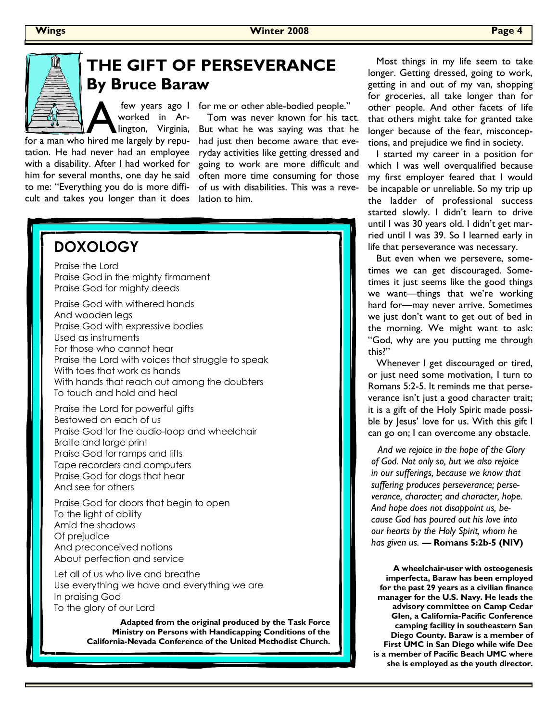

## **THE GIFT OF PERSEVERANCE By Bruce Baraw**

few years ago I<br>
worked in Ar-<br>
lington, Virginia,<br>
for a man who hired me largely by repuworked in Arlington, Virginia,

tation. He had never had an employee with a disability. After I had worked for him for several months, one day he said to me: "Everything you do is more difficult and takes you longer than it does

few years ago I for me or other able-bodied people."

 Tom was never known for his tact. But what he was saying was that he had just then become aware that everyday activities like getting dressed and going to work are more difficult and often more time consuming for those of us with disabilities. This was a revelation to him.



**Adapted from the original produced by the Task Force Ministry on Persons with Handicapping Conditions of the California-Nevada Conference of the United Methodist Church.** 

 Most things in my life seem to take longer. Getting dressed, going to work, getting in and out of my van, shopping for groceries, all take longer than for other people. And other facets of life that others might take for granted take longer because of the fear, misconceptions, and prejudice we find in society.

 I started my career in a position for which I was well overqualified because my first employer feared that I would be incapable or unreliable. So my trip up the ladder of professional success started slowly. I didn't learn to drive until I was 30 years old. I didn't get married until I was 39. So I learned early in life that perseverance was necessary.

 But even when we persevere, sometimes we can get discouraged. Sometimes it just seems like the good things we want—things that we're working hard for—may never arrive. Sometimes we just don't want to get out of bed in the morning. We might want to ask: "God, why are you putting me through this?"

 Whenever I get discouraged or tired, or just need some motivation, I turn to Romans 5:2-5. It reminds me that perseverance isn't just a good character trait; it is a gift of the Holy Spirit made possible by Jesus' love for us. With this gift I can go on; I can overcome any obstacle.

*And we rejoice in the hope of the Glory of God. Not only so, but we also rejoice in our sufferings, because we know that suffering produces perseverance; perseverance, character; and character, hope. And hope does not disappoint us, because God has poured out his love into our hearts by the Holy Spirit, whom he has given us.* **— Romans 5:2b-5 (NIV)** 

**A wheelchair-user with osteogenesis imperfecta, Baraw has been employed for the past 29 years as a civilian finance manager for the U.S. Navy. He leads the advisory committee on Camp Cedar Glen, a California-Pacific Conference camping facility in southeastern San Diego County. Baraw is a member of First UMC in San Diego while wife Dee is a member of Pacific Beach UMC where she is employed as the youth director.**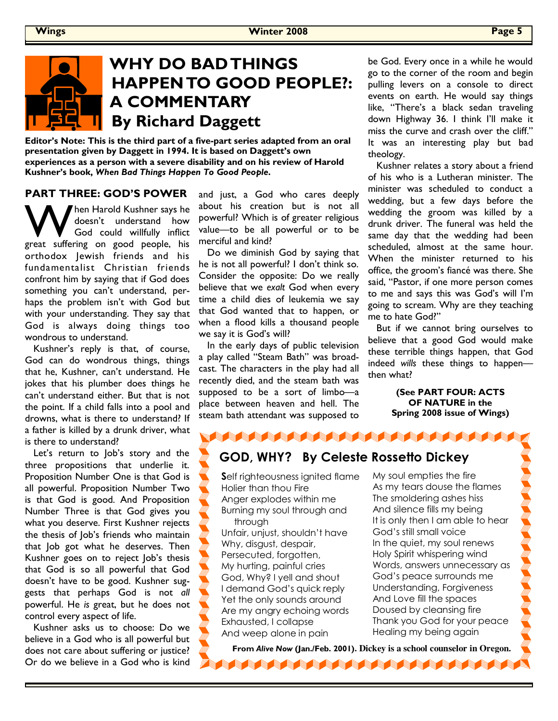# **WHY DO BAD THINGS HAPPEN TO GOOD PEOPLE?: A COMMENTARY By Richard Daggett**

**Editor's Note: This is the third part of a five-part series adapted from an oral presentation given by Daggett in 1994. It is based on Daggett's own experiences as a person with a severe disability and on his review of Harold Kushner's book,** *When Bad Things Happen To Good People***.** 

#### **PART THREE: GOD'S POWER**

W hen Harold Kushner says he<br>doesn't understand how<br>great suffering on good people, his doesn't understand how God could willfully inflict orthodox Jewish friends and his fundamentalist Christian friends confront him by saying that if God does something you can't understand, perhaps the problem isn't with God but with your understanding. They say that God is always doing things too wondrous to understand.

 Kushner's reply is that, of course, God can do wondrous things, things that he, Kushner, can't understand. He jokes that his plumber does things he can't understand either. But that is not the point. If a child falls into a pool and drowns, what is there to understand? If a father is killed by a drunk driver, what is there to understand?

 Let's return to Job's story and the three propositions that underlie it. Proposition Number One is that God is all powerful. Proposition Number Two is that God is good. And Proposition Number Three is that God gives you what you deserve. First Kushner rejects the thesis of Job's friends who maintain that Job got what he deserves. Then Kushner goes on to reject Job's thesis that God is so all powerful that God doesn't have to be good. Kushner suggests that perhaps God is not *all* powerful. He *is* great, but he does not control every aspect of life.

 Kushner asks us to choose: Do we believe in a God who is all powerful but does not care about suffering or justice? Or do we believe in a God who is kind

and just, a God who cares deeply about his creation but is not all powerful? Which is of greater religious value—to be all powerful or to be merciful and kind?

 Do we diminish God by saying that he is not all powerful? I don't think so. Consider the opposite: Do we really believe that we *exalt* God when every time a child dies of leukemia we say that God wanted that to happen, or when a flood kills a thousand people we say it is God's will?

 In the early days of public television a play called "Steam Bath" was broadcast. The characters in the play had all recently died, and the steam bath was supposed to be a sort of limbo—a place between heaven and hell. The steam bath attendant was supposed to

be God. Every once in a while he would go to the corner of the room and begin pulling levers on a console to direct events on earth. He would say things like, "There's a black sedan traveling down Highway 36. I think I'll make it miss the curve and crash over the cliff." It was an interesting play but bad theology.

 Kushner relates a story about a friend of his who is a Lutheran minister. The minister was scheduled to conduct a wedding, but a few days before the wedding the groom was killed by a drunk driver. The funeral was held the same day that the wedding had been scheduled, almost at the same hour. When the minister returned to his office, the groom's fiancé was there. She said, "Pastor, if one more person comes to me and says this was God's will I'm going to scream. Why are they teaching me to hate God?"

 But if we cannot bring ourselves to believe that a good God would make these terrible things happen, that God indeed *wills* these things to happen then what?

> **(See PART FOUR: ACTS OF NATURE in the Spring 2008 issue of Wings)**

## **GOD, WHY? By Celeste Rossetto Dickey**

**S**elf righteousness ignited flame Holier than thou Fire Anger explodes within me Burning my soul through and through

Unfair, unjust, shouldn't have Why, disgust, despair, Persecuted, forgotten, My hurting, painful cries God, Why? I yell and shout I demand God's quick reply Yet the only sounds around Are my angry echoing words Exhausted, I collapse And weep alone in pain

My soul empties the fire As my tears douse the flames The smoldering ashes hiss And silence fills my being It is only then I am able to hear God's still small voice In the quiet, my soul renews Holy Spirit whispering wind Words, answers unnecessary as God's peace surrounds me Understanding, Forgiveness And Love fill the spaces Doused by cleansing fire Thank you God for your peace Healing my being again

**From** *Alive Now* **(Jan./Feb. 2001). Dickey is a school counselor in Oregon.The Read of Post Property and Post Property**